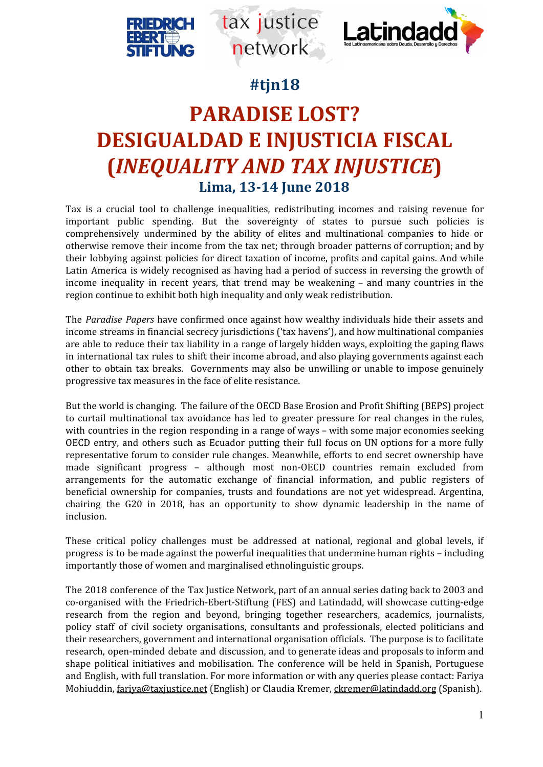



# **#tjn18**

tax justice

network

# **PARADISE LOST? DESIGUALDAD E INJUSTICIA FISCAL (***INEQUALITY AND TAX INJUSTICE***) Lima, 13-14 June 2018**

Tax is a crucial tool to challenge inequalities, redistributing incomes and raising revenue for important public spending. But the sovereignty of states to pursue such policies is comprehensively undermined by the ability of elites and multinational companies to hide or otherwise remove their income from the tax net; through broader patterns of corruption; and by their lobbying against policies for direct taxation of income, profits and capital gains. And while Latin America is widely recognised as having had a period of success in reversing the growth of income inequality in recent years, that trend may be weakening – and many countries in the region continue to exhibit both high inequality and only weak redistribution.

The *Paradise Papers* have confirmed once against how wealthy individuals hide their assets and income streams in financial secrecy jurisdictions ('tax havens'), and how multinational companies are able to reduce their tax liability in a range of largely hidden ways, exploiting the gaping flaws in international tax rules to shift their income abroad, and also playing governments against each other to obtain tax breaks. Governments may also be unwilling or unable to impose genuinely progressive tax measures in the face of elite resistance.

But the world is changing. The failure of the OECD Base Erosion and Profit Shifting (BEPS) project to curtail multinational tax avoidance has led to greater pressure for real changes in the rules, with countries in the region responding in a range of ways – with some major economies seeking OECD entry, and others such as Ecuador putting their full focus on UN options for a more fully representative forum to consider rule changes. Meanwhile, efforts to end secret ownership have made significant progress – although most non-OECD countries remain excluded from arrangements for the automatic exchange of financial information, and public registers of beneficial ownership for companies, trusts and foundations are not yet widespread. Argentina, chairing the G20 in 2018, has an opportunity to show dynamic leadership in the name of inclusion.

These critical policy challenges must be addressed at national, regional and global levels, if progress is to be made against the powerful inequalities that undermine human rights – including importantly those of women and marginalised ethnolinguistic groups.

The 2018 conference of the Tax Justice Network, part of an annual series dating back to 2003 and co-organised with the Friedrich-Ebert-Stiftung (FES) and Latindadd, will showcase cutting-edge research from the region and beyond, bringing together researchers, academics, journalists, policy staff of civil society organisations, consultants and professionals, elected politicians and their researchers, government and international organisation officials. The purpose is to facilitate research, open-minded debate and discussion, and to generate ideas and proposals to inform and shape political initiatives and mobilisation. The conference will be held in Spanish, Portuguese and English, with full translation. For more information or with any queries please contact: Fariya Mohiuddin, [fariya@taxjustice.net](mailto:fariya@taxjustice.net) (English) or Claudia Kremer, [ckremer@latindadd.org](mailto:ckremer@latindadd.org) (Spanish).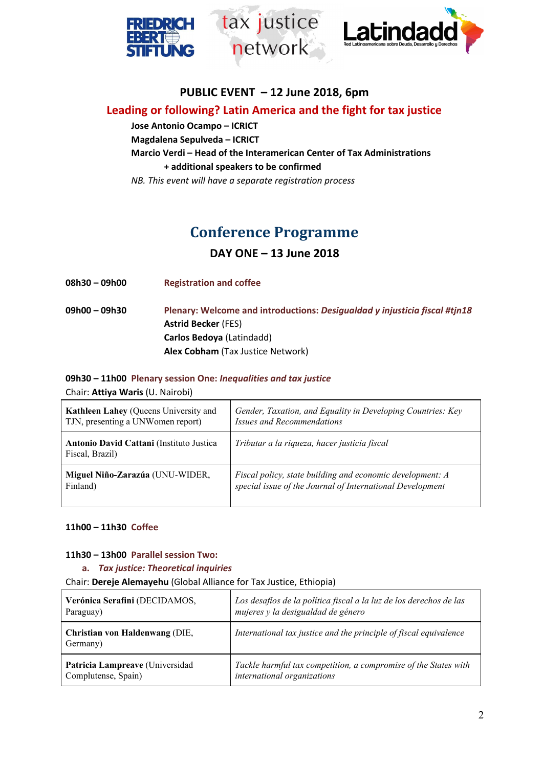



# **PUBLIC EVENT – 12 June 2018, 6pm**

tax justice

network

# **Leading or following? Latin America and the fight for tax justice**

**Jose Antonio Ocampo – ICRICT Magdalena Sepulveda – ICRICT Marcio Verdi – Head of the Interamerican Center of Tax Administrations + additional speakers to be confirmed**

*NB. This event will have a separate registration process*

# **Conference Programme**

**DAY ONE – 13 June 2018**

**08h30 – 09h00 Registration and coffee**

**09h00 – 09h30 Plenary: Welcome and introductions:** *Desigualdad y injusticia fiscal #tjn18* **Astrid Becker** (FES) **Carlos Bedoya** (Latindadd) **Alex Cobham** (Tax Justice Network)

# **09h30 – 11h00 Plenary session One:** *Inequalities and tax justice*

Chair: **Attiya Waris** (U. Nairobi)

| <b>Kathleen Lahey (Queens University and</b>                | Gender, Taxation, and Equality in Developing Countries: Key |
|-------------------------------------------------------------|-------------------------------------------------------------|
| TJN, presenting a UNWomen report)                           | <b>Issues and Recommendations</b>                           |
| Antonio David Cattani (Instituto Justica<br>Fiscal, Brazil) | Tributar a la riqueza, hacer justicia fiscal                |
| Miguel Niño-Zarazúa (UNU-WIDER,                             | Fiscal policy, state building and economic development: A   |
| Finland)                                                    | special issue of the Journal of International Development   |

#### **11h00 – 11h30 Coffee**

#### **11h30 – 13h00 Parallel session Two:**

**a.** *Tax justice: Theoretical inquiries*

Chair: **Dereje Alemayehu** (Global Alliance for Tax Justice, Ethiopia)

| Verónica Serafini (DECIDAMOS,              | Los desafíos de la política fiscal a la luz de los derechos de las |
|--------------------------------------------|--------------------------------------------------------------------|
| Paraguay)                                  | mujeres y la desigualdad de género                                 |
| Christian von Haldenwang (DIE,<br>Germany) | International tax justice and the principle of fiscal equivalence  |
| Patricia Lampreave (Universidad            | Tackle harmful tax competition, a compromise of the States with    |
| Complutense, Spain)                        | international organizations                                        |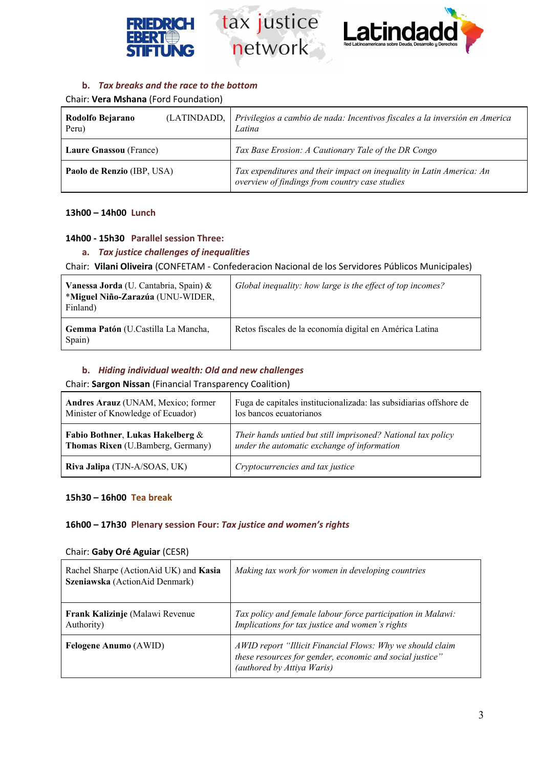





### **b.** *Tax breaks and the race to the bottom*

Chair: **Vera Mshana** (Ford Foundation)

| Rodolfo Bejarano<br>Peru)     | (LATINDADD, Privilegios a cambio de nada: Incentivos fiscales a la inversión en America<br>Latina                      |
|-------------------------------|------------------------------------------------------------------------------------------------------------------------|
| <b>Laure Gnassou</b> (France) | Tax Base Erosion: A Cautionary Tale of the DR Congo                                                                    |
| Paolo de Renzio (IBP, USA)    | Tax expenditures and their impact on inequality in Latin America: An<br>overview of findings from country case studies |

#### **13h00 – 14h00 Lunch**

#### **14h00 - 15h30 Parallel session Three:**

## **a.** *Tax justice challenges of inequalities*

Chair: **Vilani Oliveira** (CONFETAM - Confederacion Nacional de los Servidores Públicos Municipales)

| Vanessa Jorda (U. Cantabria, Spain) &<br>*Miguel Niño-Zarazúa (UNU-WIDER,<br>Finland) | Global inequality: how large is the effect of top incomes? |
|---------------------------------------------------------------------------------------|------------------------------------------------------------|
| Gemma Patón (U.Castilla La Mancha,<br>Spain)                                          | Retos fiscales de la economía digital en América Latina    |

#### **b.** *Hiding individual wealth: Old and new challenges*

Chair: **Sargon Nissan** (Financial Transparency Coalition)

| Andres Arauz (UNAM, Mexico; former       | Fuga de capitales institucionalizada: las subsidiarias offshore de |
|------------------------------------------|--------------------------------------------------------------------|
| Minister of Knowledge of Ecuador)        | los bancos ecuatorianos                                            |
| Fabio Bothner, Lukas Hakelberg &         | Their hands untied but still imprisoned? National tax policy       |
| <b>Thomas Rixen</b> (U.Bamberg, Germany) | under the automatic exchange of information                        |
| Riva Jalipa (TJN-A/SOAS, UK)             | Cryptocurrencies and tax justice                                   |

#### **15h30 – 16h00 Tea break**

#### **16h00 – 17h30 Plenary session Four:** *Tax justice and women's rights*

#### Chair: **Gaby Oré Aguiar** (CESR)

| Rachel Sharpe (ActionAid UK) and Kasia<br>Szeniawska (ActionAid Denmark) | Making tax work for women in developing countries                                                                                                   |
|--------------------------------------------------------------------------|-----------------------------------------------------------------------------------------------------------------------------------------------------|
| Frank Kalizinje (Malawi Revenue<br>Authority)                            | Tax policy and female labour force participation in Malawi:<br>Implications for tax justice and women's rights                                      |
| <b>Felogene Anumo</b> (AWID)                                             | AWID report "Illicit Financial Flows: Why we should claim<br>these resources for gender, economic and social justice"<br>(authored by Attiya Waris) |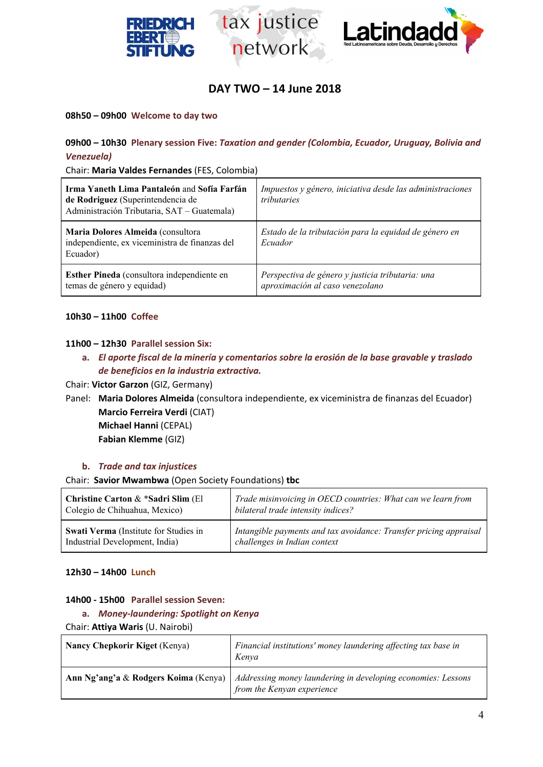





# **DAY TWO – 14 June 2018**

#### **08h50 – 09h00 Welcome to day two**

## **09h00 – 10h30 Plenary session Five:** *Taxation and gender (Colombia, Ecuador, Uruguay, Bolivia and Venezuela)*

Chair: **Maria Valdes Fernandes** (FES, Colombia)

| Irma Yaneth Lima Pantaleón and Sofía Farfán<br>de Rodriguez (Superintendencia de<br>Administración Tributaria, SAT - Guatemala) | Impuestos y género, iniciativa desde las administraciones<br>tributaries            |
|---------------------------------------------------------------------------------------------------------------------------------|-------------------------------------------------------------------------------------|
| Maria Dolores Almeida (consultora<br>independiente, ex viceministra de finanzas del<br>Ecuador)                                 | Estado de la tributación para la equidad de género en<br>Ecuador                    |
| Esther Pineda (consultora independiente en<br>temas de género y equidad)                                                        | Perspectiva de género y justicia tributaria: una<br>aproximación al caso venezolano |

#### **10h30 – 11h00 Coffee**

#### **11h00 – 12h30 Parallel session Six:**

**a.** *El aporte fiscal de la minería y comentarios sobre la erosión de la base gravable y traslado de beneficios en la industria extractiva.*

Chair: **Victor Garzon** (GIZ, Germany)

Panel: **Maria Dolores Almeida** (consultora independiente, ex viceministra de finanzas del Ecuador) **Marcio Ferreira Verdi** (CIAT)

**Michael Hanni** (CEPAL) **Fabian Klemme** (GIZ)

#### **b.** *Trade and tax injustices*

Chair: **Savior Mwambwa** (Open Society Foundations) **tbc**

| Christine Carton & *Sadri Slim (El    | Trade misinvoicing in OECD countries: What can we learn from      |
|---------------------------------------|-------------------------------------------------------------------|
| Colegio de Chihuahua, Mexico)         | bilateral trade intensity indices?                                |
| Swati Verma (Institute for Studies in | Intangible payments and tax avoidance: Transfer pricing appraisal |
| Industrial Development, India)        | challenges in Indian context                                      |

#### **12h30 – 14h00 Lunch**

#### **14h00 - 15h00 Parallel session Seven:**

**a.** *Money-laundering: Spotlight on Kenya*

Chair: **Attiya Waris** (U. Nairobi)

| <b>Nancy Chepkorir Kiget (Kenya)</b> | Financial institutions' money laundering affecting tax base in<br>Kenva                                                           |
|--------------------------------------|-----------------------------------------------------------------------------------------------------------------------------------|
|                                      | Ann Ng'ang'a & Rodgers Koima (Kenya)   Addressing money laundering in developing economies: Lessons<br>from the Kenyan experience |